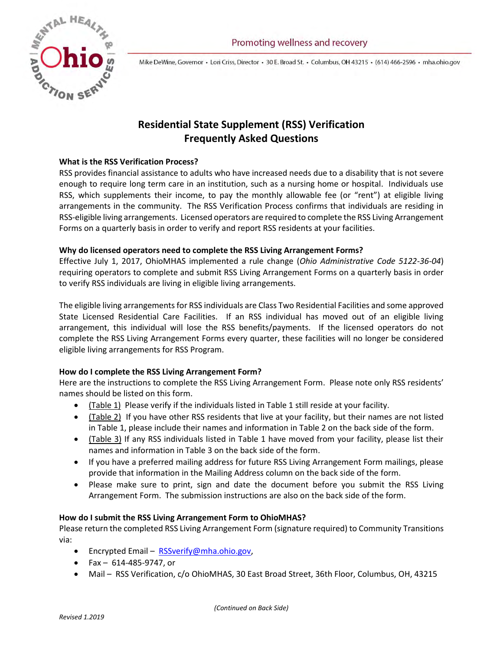

Mike DeWine, Governor · Lori Criss, Director · 30 E. Broad St. · Columbus, OH 43215 · (614) 466-2596 · mha.ohio.gov

# **Residential State Supplement (RSS) Verification Frequently Asked Questions**

## **What is the RSS Verification Process?**

RSS provides financial assistance to adults who have increased needs due to a disability that is not severe enough to require long term care in an institution, such as a nursing home or hospital. Individuals use RSS, which supplements their income, to pay the monthly allowable fee (or "rent") at eligible living arrangements in the community. The RSS Verification Process confirms that individuals are residing in RSS-eligible living arrangements. Licensed operators are required to complete the RSS Living Arrangement Forms on a quarterly basis in order to verify and report RSS residents at your facilities.

## **Why do licensed operators need to complete the RSS Living Arrangement Forms?**

Effective July 1, 2017, OhioMHAS implemented a rule change (*Ohio Administrative Code 5122-36-04*) requiring operators to complete and submit RSS Living Arrangement Forms on a quarterly basis in order to verify RSS individuals are living in eligible living arrangements.

The eligible living arrangements for RSS individuals are Class Two Residential Facilities and some approved State Licensed Residential Care Facilities. If an RSS individual has moved out of an eligible living arrangement, this individual will lose the RSS benefits/payments. If the licensed operators do not complete the RSS Living Arrangement Forms every quarter, these facilities will no longer be considered eligible living arrangements for RSS Program.

## **How do I complete the RSS Living Arrangement Form?**

Here are the instructions to complete the RSS Living Arrangement Form. Please note only RSS residents' names should be listed on this form.

- (Table 1) Please verify if the individuals listed in Table 1 still reside at your facility.
- (Table 2) If you have other RSS residents that live at your facility, but their names are not listed in Table 1, please include their names and information in Table 2 on the back side of the form.
- (Table 3) If any RSS individuals listed in Table 1 have moved from your facility, please list their names and information in Table 3 on the back side of the form.
- If you have a preferred mailing address for future RSS Living Arrangement Form mailings, please provide that information in the Mailing Address column on the back side of the form.
- Please make sure to print, sign and date the document before you submit the RSS Living Arrangement Form. The submission instructions are also on the back side of the form.

## **How do I submit the RSS Living Arrangement Form to OhioMHAS?**

Please return the completed RSS Living Arrangement Form (signature required) to Community Transitions via:

- Encrypted Email [RSSverify@mha.ohio.gov,](mailto:RSSverify@mha.ohio.gov)
- Fax 614-485-9747, or
- Mail RSS Verification, c/o OhioMHAS, 30 East Broad Street, 36th Floor, Columbus, OH, 43215